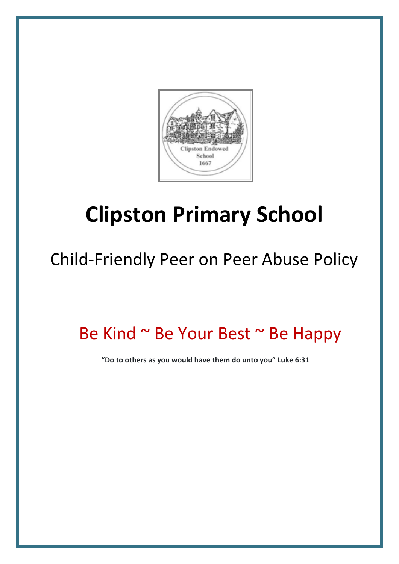

# **Clipston Primary School**

## Child-Friendly Peer on Peer Abuse Policy

### Be Kind ~ Be Your Best ~ Be Happy

 **"Do to others as you would have them do unto you" Luke 6:31**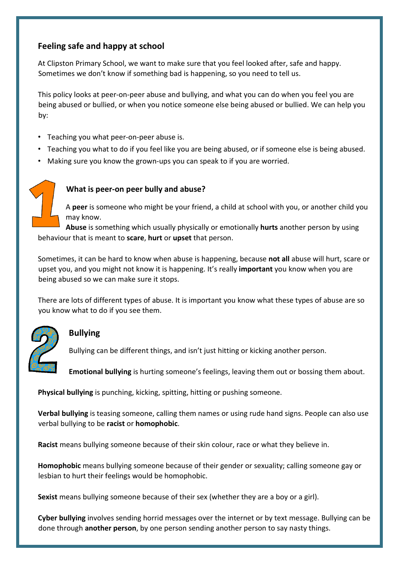#### **Feeling safe and happy at school**

At Clipston Primary School, we want to make sure that you feel looked after, safe and happy. Sometimes we don't know if something bad is happening, so you need to tell us.

This policy looks at peer-on-peer abuse and bullying, and what you can do when you feel you are being abused or bullied, or when you notice someone else being abused or bullied. We can help you by:

- Teaching you what peer-on-peer abuse is.
- Teaching you what to do if you feel like you are being abused, or if someone else is being abused.
- Making sure you know the grown-ups you can speak to if you are worried.

#### **What is peer-on peer bully and abuse?**

A **peer** is someone who might be your friend, a child at school with you, or another child you may know.

**Abuse** is something which usually physically or emotionally **hurts** another person by using behaviour that is meant to **scare**, **hurt** or **upset** that person.

Sometimes, it can be hard to know when abuse is happening, because **not all** abuse will hurt, scare or upset you, and you might not know it is happening. It's really **important** you know when you are being abused so we can make sure it stops.

There are lots of different types of abuse. It is important you know what these types of abuse are so you know what to do if you see them.



#### **Bullying**

Bullying can be different things, and isn't just hitting or kicking another person.

**Emotional bullying** is hurting someone's feelings, leaving them out or bossing them about.

**Physical bullying** is punching, kicking, spitting, hitting or pushing someone.

**Verbal bullying** is teasing someone, calling them names or using rude hand signs. People can also use verbal bullying to be **racist** or **homophobic**.

**Racist** means bullying someone because of their skin colour, race or what they believe in.

**Homophobic** means bullying someone because of their gender or sexuality; calling someone gay or lesbian to hurt their feelings would be homophobic.

Sexist means bullying someone because of their sex (whether they are a boy or a girl).

**Cyber bullying** involves sending horrid messages over the internet or by text message. Bullying can be done through **another person**, by one person sending another person to say nasty things.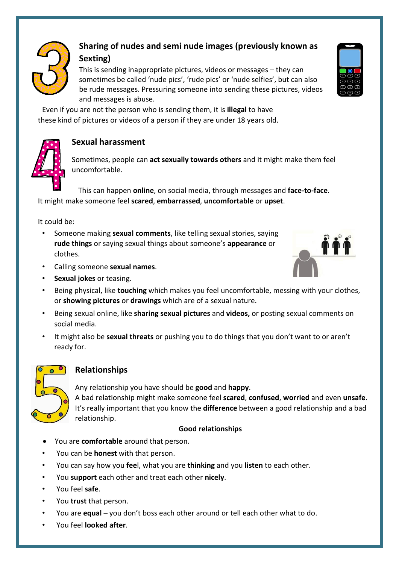

### **Sharing of nudes and semi nude images (previously known as Sexting)**

This is sending inappropriate pictures, videos or messages – they can sometimes be called 'nude pics', 'rude pics' or 'nude selfies', but can also be rude messages. Pressuring someone into sending these pictures, videos and messages is abuse.

Even if you are not the person who is sending them, it is **illegal** to have these kind of pictures or videos of a person if they are under 18 years old.



#### **Sexual harassment**

Sometimes, people can **act sexually towards others** and it might make them feel uncomfortable.

This can happen **online**, on social media, through messages and **face-to-face**. It might make someone feel **scared**, **embarrassed**, **uncomfortable** or **upset**.

It could be:

- Someone making **sexual comments**, like telling sexual stories, saying **rude things** or saying sexual things about someone's **appearance** or clothes.
- Calling someone **sexual names**.
- **Sexual jokes** or teasing.



- Being sexual online, like **sharing sexual pictures** and **videos,** or posting sexual comments on social media.
- It might also be **sexual threats** or pushing you to do things that you don't want to or aren't ready for.



#### **Relationships**

Any relationship you have should be **good** and **happy**.

A bad relationship might make someone feel **scared**, **confused**, **worried** and even **unsafe**. It's really important that you know the **difference** between a good relationship and a bad relationship.

#### **Good relationships**

- You are **comfortable** around that person.
- You can be **honest** with that person.
- You can say how you **fee**l, what you are **thinking** and you **listen** to each other.
- You **support** each other and treat each other **nicely**.
- You feel **safe**.
- You **trust** that person.
- You are **equal** you don't boss each other around or tell each other what to do.
- You feel **looked after**.



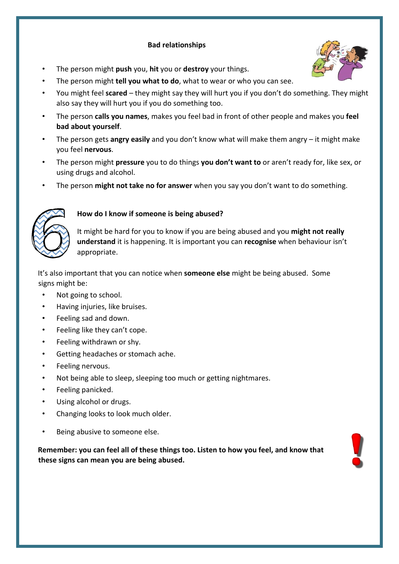#### **Bad relationships**



- The person might **push** you, **hit** you or **destroy** your things.
- The person might **tell you what to do**, what to wear or who you can see.
- You might feel **scared** they might say they will hurt you if you don't do something. They might also say they will hurt you if you do something too.
- The person **calls you names**, makes you feel bad in front of other people and makes you **feel bad about yourself**.
- The person gets **angry easily** and you don't know what will make them angry it might make you feel **nervous**.
- The person might **pressure** you to do things **you don't want to** or aren't ready for, like sex, or using drugs and alcohol.
- The person **might not take no for answer** when you say you don't want to do something.



#### **How do I know if someone is being abused?**

It might be hard for you to know if you are being abused and you **might not really understand** it is happening. It is important you can **recognise** when behaviour isn't appropriate.

It's also important that you can notice when **someone else** might be being abused. Some signs might be:

- Not going to school.
- Having injuries, like bruises.
- Feeling sad and down.
- Feeling like they can't cope.
- Feeling withdrawn or shy.
- Getting headaches or stomach ache.
- Feeling nervous.
- Not being able to sleep, sleeping too much or getting nightmares.
- Feeling panicked.
- Using alcohol or drugs.
- Changing looks to look much older.
- Being abusive to someone else.

**Remember: you can feel all of these things too. Listen to how you feel, and know that these signs can mean you are being abused.** 

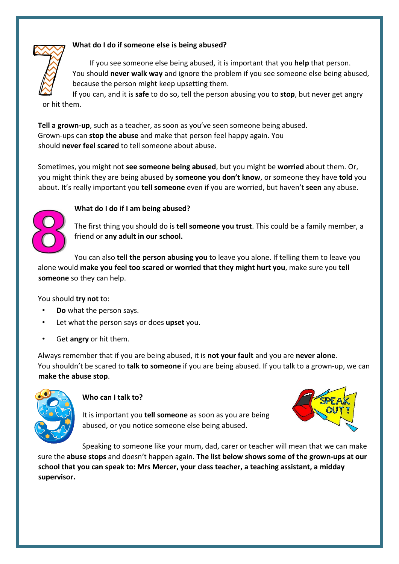#### **What do I do if someone else is being abused?**

If you see someone else being abused, it is important that you **help** that person. You should **never walk way** and ignore the problem if you see someone else being abused, because the person might keep upsetting them.

If you can, and it is **safe** to do so, tell the person abusing you to **stop**, but never get angry or hit them.

**Tell a grown-up**, such as a teacher, as soon as you've seen someone being abused. Grown-ups can **stop the abuse** and make that person feel happy again. You should **never feel scared** to tell someone about abuse.

Sometimes, you might not **see someone being abused**, but you might be **worried** about them. Or, you might think they are being abused by **someone you don't know**, or someone they have **told** you about. It's really important you **tell someone** even if you are worried, but haven't **seen** any abuse.



#### **What do I do if I am being abused?**

The first thing you should do is **tell someone you trust**. This could be a family member, a friend or **any adult in our school.**

You can also **tell the person abusing you** to leave you alone. If telling them to leave you alone would **make you feel too scared or worried that they might hurt you**, make sure you **tell someone** so they can help.

You should **try not** to:

- **Do** what the person says.
- Let what the person says or does **upset** you.
- Get **angry** or hit them.

Always remember that if you are being abused, it is **not your fault** and you are **never alone**. You shouldn't be scared to **talk to someone** if you are being abused. If you talk to a grown-up, we can **make the abuse stop**.



#### **Who can I talk to?**

It is important you **tell someone** as soon as you are being abused, or you notice someone else being abused.



Speaking to someone like your mum, dad, carer or teacher will mean that we can make sure the **abuse stops** and doesn't happen again. **The list below shows some of the grown-ups at our school that you can speak to: Mrs Mercer, your class teacher, a teaching assistant, a midday supervisor.**